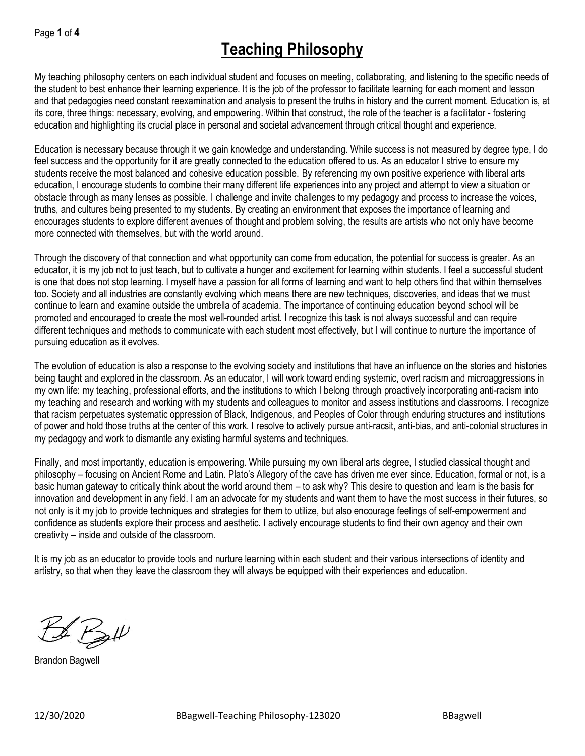My teaching philosophy centers on each individual student and focuses on meeting, collaborating, and listening to the specific needs of the student to best enhance their learning experience. It is the job of the professor to facilitate learning for each moment and lesson and that pedagogies need constant reexamination and analysis to present the truths in history and the current moment. Education is, at its core, three things: necessary, evolving, and empowering. Within that construct, the role of the teacher is a facilitator - fostering education and highlighting its crucial place in personal and societal advancement through critical thought and experience.

Education is necessary because through it we gain knowledge and understanding. While success is not measured by degree type, I do feel success and the opportunity for it are greatly connected to the education offered to us. As an educator I strive to ensure my students receive the most balanced and cohesive education possible. By referencing my own positive experience with liberal arts education, I encourage students to combine their many different life experiences into any project and attempt to view a situation or obstacle through as many lenses as possible. I challenge and invite challenges to my pedagogy and process to increase the voices, truths, and cultures being presented to my students. By creating an environment that exposes the importance of learning and encourages students to explore different avenues of thought and problem solving, the results are artists who not only have become more connected with themselves, but with the world around.

Through the discovery of that connection and what opportunity can come from education, the potential for success is greater. As an educator, it is my job not to just teach, but to cultivate a hunger and excitement for learning within students. I feel a successful student is one that does not stop learning. I myself have a passion for all forms of learning and want to help others find that within themselves too. Society and all industries are constantly evolving which means there are new techniques, discoveries, and ideas that we must continue to learn and examine outside the umbrella of academia. The importance of continuing education beyond school will be promoted and encouraged to create the most well-rounded artist. I recognize this task is not always successful and can require different techniques and methods to communicate with each student most effectively, but I will continue to nurture the importance of pursuing education as it evolves.

The evolution of education is also a response to the evolving society and institutions that have an influence on the stories and histories being taught and explored in the classroom. As an educator, I will work toward ending systemic, overt racism and microaggressions in my own life: my teaching, professional efforts, and the institutions to which I belong through proactively incorporating anti-racism into my teaching and research and working with my students and colleagues to monitor and assess institutions and classrooms. I recognize that racism perpetuates systematic oppression of Black, Indigenous, and Peoples of Color through enduring structures and institutions of power and hold those truths at the center of this work. I resolve to actively pursue anti-racsit, anti-bias, and anti-colonial structures in my pedagogy and work to dismantle any existing harmful systems and techniques.

Finally, and most importantly, education is empowering. While pursuing my own liberal arts degree, I studied classical thought and philosophy – focusing on Ancient Rome and Latin. Plato's Allegory of the cave has driven me ever since. Education, formal or not, is a basic human gateway to critically think about the world around them – to ask why? This desire to question and learn is the basis for innovation and development in any field. I am an advocate for my students and want them to have the most success in their futures, so not only is it my job to provide techniques and strategies for them to utilize, but also encourage feelings of self-empowerment and confidence as students explore their process and aesthetic. I actively encourage students to find their own agency and their own creativity – inside and outside of the classroom.

It is my job as an educator to provide tools and nurture learning within each student and their various intersections of identity and artistry, so that when they leave the classroom they will always be equipped with their experiences and education.

 $B$  Batt

Brandon Bagwell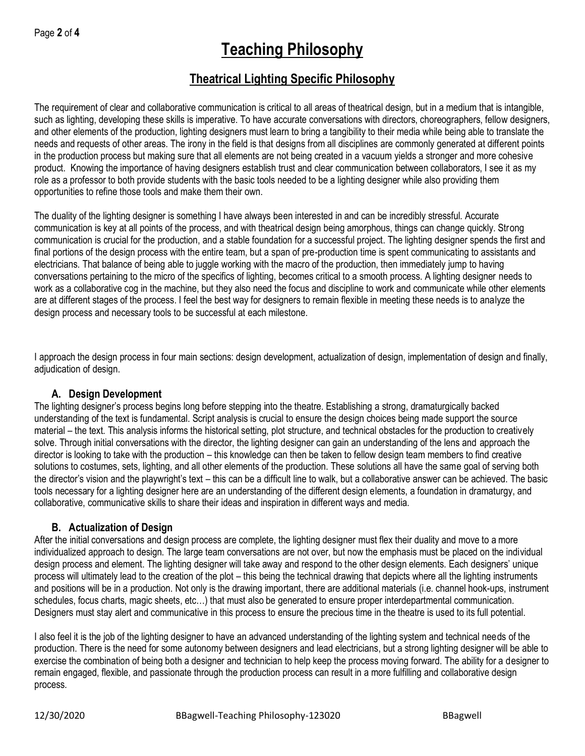# **Theatrical Lighting Specific Philosophy**

The requirement of clear and collaborative communication is critical to all areas of theatrical design, but in a medium that is intangible, such as lighting, developing these skills is imperative. To have accurate conversations with directors, choreographers, fellow designers, and other elements of the production, lighting designers must learn to bring a tangibility to their media while being able to translate the needs and requests of other areas. The irony in the field is that designs from all disciplines are commonly generated at different points in the production process but making sure that all elements are not being created in a vacuum yields a stronger and more cohesive product. Knowing the importance of having designers establish trust and clear communication between collaborators, I see it as my role as a professor to both provide students with the basic tools needed to be a lighting designer while also providing them opportunities to refine those tools and make them their own.

The duality of the lighting designer is something I have always been interested in and can be incredibly stressful. Accurate communication is key at all points of the process, and with theatrical design being amorphous, things can change quickly. Strong communication is crucial for the production, and a stable foundation for a successful project. The lighting designer spends the first and final portions of the design process with the entire team, but a span of pre-production time is spent communicating to assistants and electricians. That balance of being able to juggle working with the macro of the production, then immediately jump to having conversations pertaining to the micro of the specifics of lighting, becomes critical to a smooth process. A lighting designer needs to work as a collaborative cog in the machine, but they also need the focus and discipline to work and communicate while other elements are at different stages of the process. I feel the best way for designers to remain flexible in meeting these needs is to analyze the design process and necessary tools to be successful at each milestone.

I approach the design process in four main sections: design development, actualization of design, implementation of design and finally, adjudication of design.

## **A. Design Development**

The lighting designer's process begins long before stepping into the theatre. Establishing a strong, dramaturgically backed understanding of the text is fundamental. Script analysis is crucial to ensure the design choices being made support the source material – the text. This analysis informs the historical setting, plot structure, and technical obstacles for the production to creatively solve. Through initial conversations with the director, the lighting designer can gain an understanding of the lens and approach the director is looking to take with the production – this knowledge can then be taken to fellow design team members to find creative solutions to costumes, sets, lighting, and all other elements of the production. These solutions all have the same goal of serving both the director's vision and the playwright's text – this can be a difficult line to walk, but a collaborative answer can be achieved. The basic tools necessary for a lighting designer here are an understanding of the different design elements, a foundation in dramaturgy, and collaborative, communicative skills to share their ideas and inspiration in different ways and media.

## **B. Actualization of Design**

After the initial conversations and design process are complete, the lighting designer must flex their duality and move to a more individualized approach to design. The large team conversations are not over, but now the emphasis must be placed on the individual design process and element. The lighting designer will take away and respond to the other design elements. Each designers' unique process will ultimately lead to the creation of the plot – this being the technical drawing that depicts where all the lighting instruments and positions will be in a production. Not only is the drawing important, there are additional materials (i.e. channel hook-ups, instrument schedules, focus charts, magic sheets, etc…) that must also be generated to ensure proper interdepartmental communication. Designers must stay alert and communicative in this process to ensure the precious time in the theatre is used to its full potential.

I also feel it is the job of the lighting designer to have an advanced understanding of the lighting system and technical needs of the production. There is the need for some autonomy between designers and lead electricians, but a strong lighting designer will be able to exercise the combination of being both a designer and technician to help keep the process moving forward. The ability for a designer to remain engaged, flexible, and passionate through the production process can result in a more fulfilling and collaborative design process.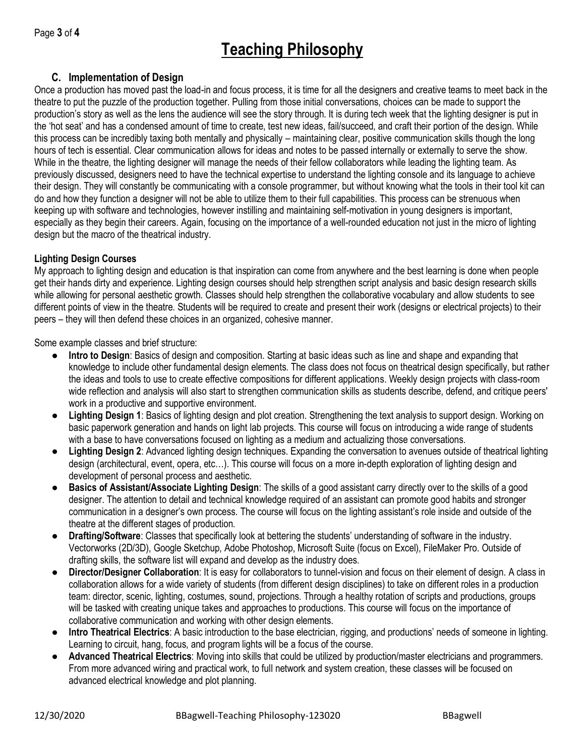# **C. Implementation of Design**

Once a production has moved past the load-in and focus process, it is time for all the designers and creative teams to meet back in the theatre to put the puzzle of the production together. Pulling from those initial conversations, choices can be made to support the production's story as well as the lens the audience will see the story through. It is during tech week that the lighting designer is put in the 'hot seat' and has a condensed amount of time to create, test new ideas, fail/succeed, and craft their portion of the design. While this process can be incredibly taxing both mentally and physically – maintaining clear, positive communication skills though the long hours of tech is essential. Clear communication allows for ideas and notes to be passed internally or externally to serve the show. While in the theatre, the lighting designer will manage the needs of their fellow collaborators while leading the lighting team. As previously discussed, designers need to have the technical expertise to understand the lighting console and its language to achieve their design. They will constantly be communicating with a console programmer, but without knowing what the tools in their tool kit can do and how they function a designer will not be able to utilize them to their full capabilities. This process can be strenuous when keeping up with software and technologies, however instilling and maintaining self-motivation in young designers is important, especially as they begin their careers. Again, focusing on the importance of a well-rounded education not just in the micro of lighting design but the macro of the theatrical industry.

### **Lighting Design Courses**

My approach to lighting design and education is that inspiration can come from anywhere and the best learning is done when people get their hands dirty and experience. Lighting design courses should help strengthen script analysis and basic design research skills while allowing for personal aesthetic growth. Classes should help strengthen the collaborative vocabulary and allow students to see different points of view in the theatre. Students will be required to create and present their work (designs or electrical projects) to their peers – they will then defend these choices in an organized, cohesive manner.

Some example classes and brief structure:

- **Intro to Design**: Basics of design and composition. Starting at basic ideas such as line and shape and expanding that knowledge to include other fundamental design elements. The class does not focus on theatrical design specifically, but rather the ideas and tools to use to create effective compositions for different applications. Weekly design projects with class-room wide reflection and analysis will also start to strengthen communication skills as students describe, defend, and critique peers' work in a productive and supportive environment.
- **Lighting Design 1**: Basics of lighting design and plot creation. Strengthening the text analysis to support design. Working on basic paperwork generation and hands on light lab projects. This course will focus on introducing a wide range of students with a base to have conversations focused on lighting as a medium and actualizing those conversations.
- **Lighting Design 2**: Advanced lighting design techniques. Expanding the conversation to avenues outside of theatrical lighting design (architectural, event, opera, etc…). This course will focus on a more in-depth exploration of lighting design and development of personal process and aesthetic.
- **Basics of Assistant/Associate Lighting Design**: The skills of a good assistant carry directly over to the skills of a good designer. The attention to detail and technical knowledge required of an assistant can promote good habits and stronger communication in a designer's own process. The course will focus on the lighting assistant's role inside and outside of the theatre at the different stages of production.
- **Drafting/Software**: Classes that specifically look at bettering the students' understanding of software in the industry. Vectorworks (2D/3D), Google Sketchup, Adobe Photoshop, Microsoft Suite (focus on Excel), FileMaker Pro. Outside of drafting skills, the software list will expand and develop as the industry does.
- **Director/Designer Collaboration**: It is easy for collaborators to tunnel-vision and focus on their element of design. A class in collaboration allows for a wide variety of students (from different design disciplines) to take on different roles in a production team: director, scenic, lighting, costumes, sound, projections. Through a healthy rotation of scripts and productions, groups will be tasked with creating unique takes and approaches to productions. This course will focus on the importance of collaborative communication and working with other design elements.
- **Intro Theatrical Electrics**: A basic introduction to the base electrician, rigging, and productions' needs of someone in lighting. Learning to circuit, hang, focus, and program lights will be a focus of the course.
- Advanced Theatrical Electrics: Moving into skills that could be utilized by production/master electricians and programmers. From more advanced wiring and practical work, to full network and system creation, these classes will be focused on advanced electrical knowledge and plot planning.